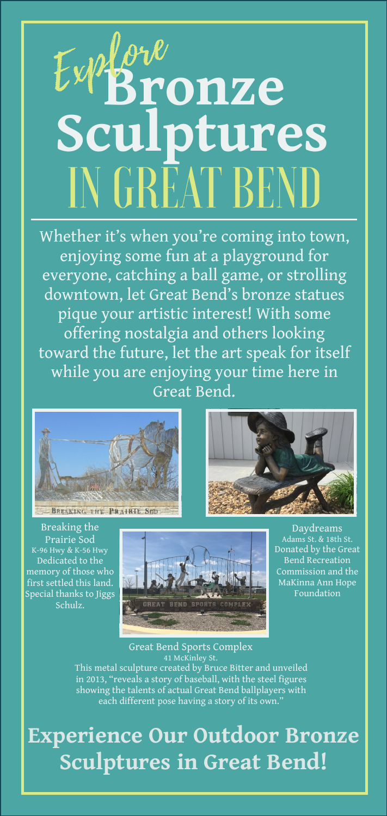## **Bronze** Sculptures<br>**INGREAT BEND**

Whether it's when you're coming into town, enjoying some fun at a playground for everyone, catching a ball game, or strolling downtown, let Great Bend's bronze statues pique your artistic interest! With some offering nostalgia and others looking toward the future, let the art speak for itself while you are enjoying your time here in Great Bend.





Breaking the Prairie Sod K-96 Hwy & K-56 Hwy Dedicated to the memory of those who first settled this land. Special thanks to Jiggs Schulz.



Daydreams Adams St. & 18th St. Donated by the Great Bend Recreation Commission and the MaKinna Ann Hope Foundation

Great Bend Sports Complex 41 McKinley St. This metal sculpture created by Bruce Bitter and unveiled in 2013, "reveals a story of baseball, with the steel figures showing the talents of actual Great Bend ballplayers with each different pose having a story of its own."

**Experience Our Outdoor Bronze Sculptures in Great Bend!**